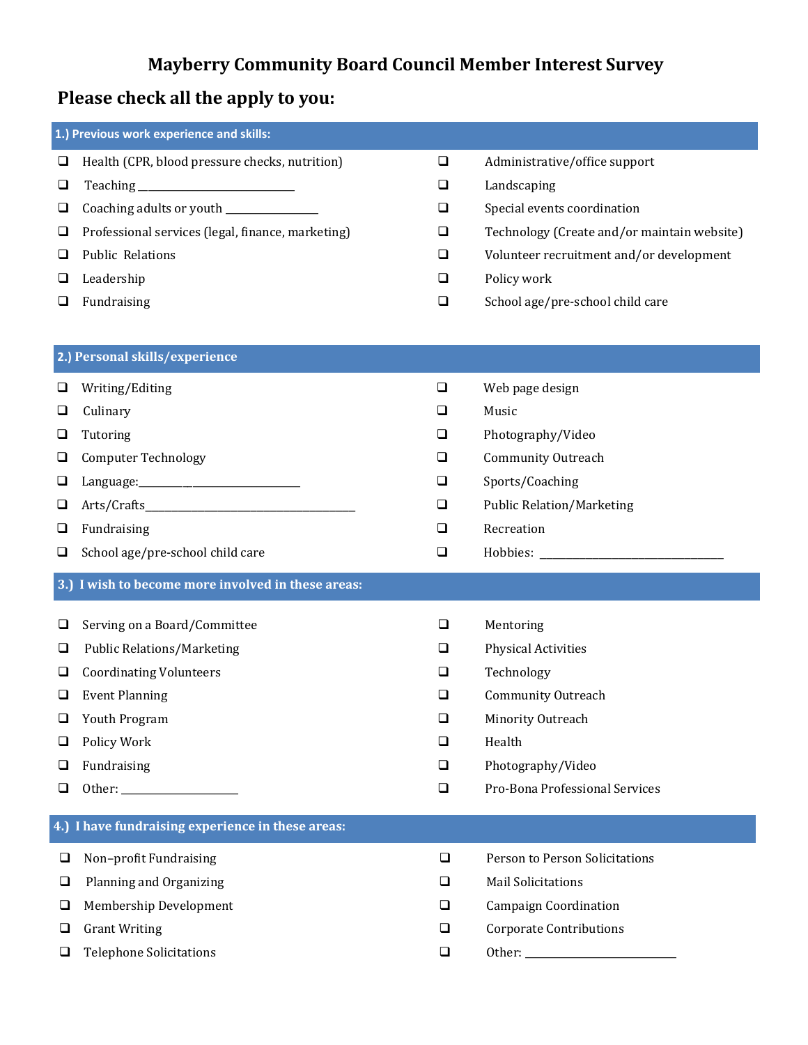## **Mayberry Community Board Council Member Interest Survey**

## **Please check all the apply to you:**

| 1.) Previous work experience and skills: |                                                    |        |                                             |  |  |  |
|------------------------------------------|----------------------------------------------------|--------|---------------------------------------------|--|--|--|
| $\Box$                                   | Health (CPR, blood pressure checks, nutrition)     | $\Box$ | Administrative/office support               |  |  |  |
| $\Box$                                   |                                                    | $\Box$ | Landscaping                                 |  |  |  |
| $\Box$                                   | Coaching adults or youth ______________            | $\Box$ | Special events coordination                 |  |  |  |
| $\Box$                                   | Professional services (legal, finance, marketing)  | $\Box$ | Technology (Create and/or maintain website) |  |  |  |
| $\Box$                                   | <b>Public Relations</b>                            | $\Box$ | Volunteer recruitment and/or development    |  |  |  |
| $\Box$                                   | Leadership                                         | $\Box$ | Policy work                                 |  |  |  |
| $\Box$                                   | Fundraising                                        | $\Box$ | School age/pre-school child care            |  |  |  |
|                                          |                                                    |        |                                             |  |  |  |
| 2.) Personal skills/experience           |                                                    |        |                                             |  |  |  |
| $\Box$                                   | Writing/Editing                                    | $\Box$ | Web page design                             |  |  |  |
| $\Box$                                   | Culinary                                           | $\Box$ | Music                                       |  |  |  |
| ❏                                        | Tutoring                                           | ❏      | Photography/Video                           |  |  |  |
| □                                        | <b>Computer Technology</b>                         | ❏      | <b>Community Outreach</b>                   |  |  |  |
| ❏                                        |                                                    | $\Box$ | Sports/Coaching                             |  |  |  |
| $\Box$                                   |                                                    | $\Box$ | <b>Public Relation/Marketing</b>            |  |  |  |
| $\Box$                                   | Fundraising                                        | $\Box$ | Recreation                                  |  |  |  |
|                                          |                                                    |        |                                             |  |  |  |
| $\Box$                                   | School age/pre-school child care                   | ❏      |                                             |  |  |  |
|                                          | 3.) I wish to become more involved in these areas: |        |                                             |  |  |  |
| $\Box$                                   | Serving on a Board/Committee                       | $\Box$ | Mentoring                                   |  |  |  |
| $\Box$                                   | <b>Public Relations/Marketing</b>                  | $\Box$ | <b>Physical Activities</b>                  |  |  |  |
| ❏                                        | <b>Coordinating Volunteers</b>                     | ⊔      | Technology                                  |  |  |  |
| ❏                                        | <b>Event Planning</b>                              | ⊔      | <b>Community Outreach</b>                   |  |  |  |
| $\Box$                                   | Youth Program                                      | $\Box$ | Minority Outreach                           |  |  |  |
| $\Box$                                   | Policy Work                                        | $\Box$ | Health                                      |  |  |  |
| $\Box$                                   | Fundraising                                        | $\Box$ | Photography/Video                           |  |  |  |
| $\Box$                                   |                                                    | $\Box$ | Pro-Bona Professional Services              |  |  |  |
|                                          | 4.) I have fundraising experience in these areas:  |        |                                             |  |  |  |
| $\Box$                                   | Non-profit Fundraising                             | $\Box$ | Person to Person Solicitations              |  |  |  |
| $\Box$                                   | Planning and Organizing                            | $\Box$ | <b>Mail Solicitations</b>                   |  |  |  |
| ❏                                        | Membership Development                             | $\Box$ | <b>Campaign Coordination</b>                |  |  |  |
| $\Box$                                   | <b>Grant Writing</b>                               | $\Box$ | <b>Corporate Contributions</b>              |  |  |  |